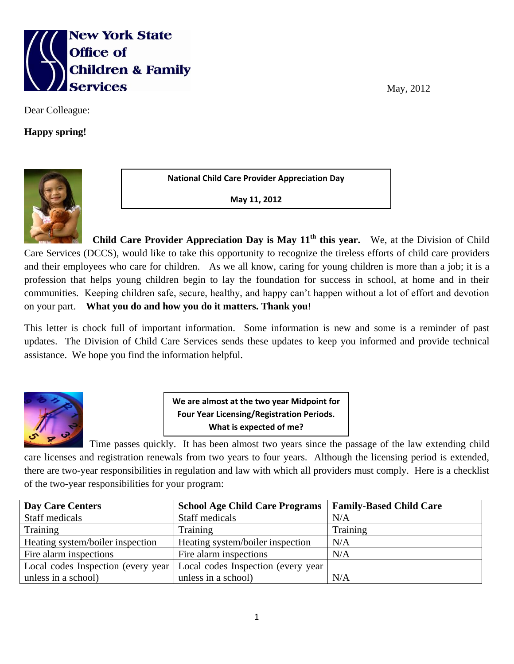

Dear Colleague:

**Happy spring!**



**National Child Care Provider Appreciation Day**

**May 11, 2012**

**Child Care Provider Appreciation Day is May 11<sup>th</sup> this year.** We, at the Division of Child Care Services (DCCS), would like to take this opportunity to recognize the tireless efforts of child care providers and their employees who care for children. As we all know, caring for young children is more than a job; it is a profession that helps young children begin to lay the foundation for success in school, at home and in their communities. Keeping children safe, secure, healthy, and happy can't happen without a lot of effort and devotion on your part. **What you do and how you do it matters. Thank you**!

This letter is chock full of important information. Some information is new and some is a reminder of past updates. The Division of Child Care Services sends these updates to keep you informed and provide technical assistance. We hope you find the information helpful.



**We are almost at the two year Midpoint for Four Year Licensing/Registration Periods. What is expected of me?**

 Time passes quickly. It has been almost two years since the passage of the law extending child care licenses and registration renewals from two years to four years. Although the licensing period is extended, there are two-year responsibilities in regulation and law with which all providers must comply. Here is a checklist of the two-year responsibilities for your program:

| Day Care Centers                    | <b>School Age Child Care Programs</b> | <b>Family-Based Child Care</b> |
|-------------------------------------|---------------------------------------|--------------------------------|
| Staff medicals                      | Staff medicals                        | N/A                            |
| Training                            | Training                              | Training                       |
| Heating system/boiler inspection    | Heating system/boiler inspection      | N/A                            |
| Fire alarm inspections              | Fire alarm inspections                | N/A                            |
| Local codes Inspection (every year) | Local codes Inspection (every year    |                                |
| unless in a school)                 | unless in a school)                   | N/A                            |

May, 2012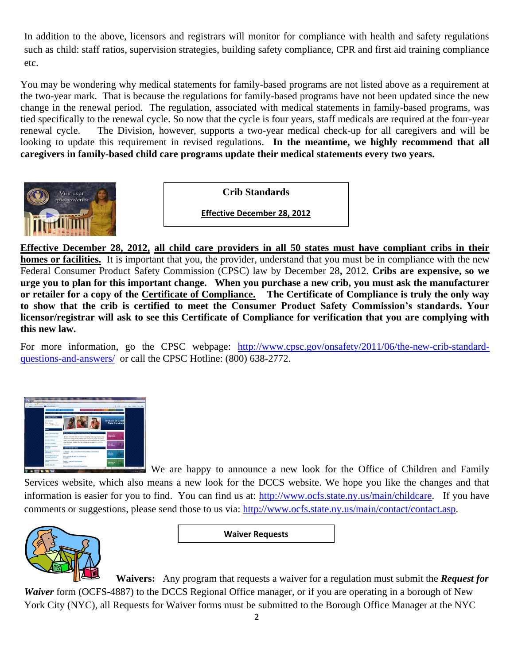In addition to the above, licensors and registrars will monitor for compliance with health and safety regulations such as child: staff ratios, supervision strategies, building safety compliance, CPR and first aid training compliance etc.

You may be wondering why medical statements for family-based programs are not listed above as a requirement at the two-year mark. That is because the regulations for family-based programs have not been updated since the new change in the renewal period. The regulation, associated with medical statements in family-based programs, was tied specifically to the renewal cycle. So now that the cycle is four years, staff medicals are required at the four-year renewal cycle. The Division, however, supports a two-year medical check-up for all caregivers and will be looking to update this requirement in revised regulations. In the meantime, we highly recommend that all **caregivers in family-based child care programs update their medical statements every two years.**



**Crib Standards**

**Effective December 28, 2012**

**Effective December 28, 2012, all child care providers in all 50 states must have compliant cribs in their homes or facilities.** It is important that you, the provider, understand that you must be in compliance with the new Federal Consumer Product Safety Commission (CPSC) law by December 28**,** 2012. **Cribs are expensive, so we urge you to plan for this important change. When you purchase a new crib, you must ask the manufacturer or retailer for a copy of the [Certificate of Compliance.](http://www.cpsc.gov/about/cpsia/faq/elecertfaq.pdf) The Certificate of Compliance is truly the only way to show that the crib is certified to meet the Consumer Product Safety Commission's standards. Your licensor/registrar will ask to see this Certificate of Compliance for verification that you are complying with this new law.**

For more information, go the CPSC webpage: [http://www.cpsc.gov/onsafety/2011/06/the-new-crib-standard](http://www.cpsc.gov/onsafety/2011/06/the-new-crib-standard-questions-and-answers/)[questions-and-answers/](http://www.cpsc.gov/onsafety/2011/06/the-new-crib-standard-questions-and-answers/) or call the CPSC Hotline: (800) 638-2772.



We are happy to announce a new look for the Office of Children and Family Services website, which also means a new look for the DCCS website. We hope you like the changes and that information is easier for you to find. You can find us at: [http://www.ocfs.state.ny.us/main/childcare.](http://www.ocfs.state.ny.us/main/childcare) If you have comments or suggestions, please send those to us via: [http://www.ocfs.state.ny.us/main/contact/contact.asp.](http://www.ocfs.state.ny.us/main/contact/contact.asp)



**Waiver Requests**

 **Waivers:** Any program that requests a waiver for a regulation must submit the *Request for Waiver* form (OCFS-4887) to the DCCS Regional Office manager, or if you are operating in a borough of New

York City (NYC), all Requests for Waiver forms must be submitted to the Borough Office Manager at the NYC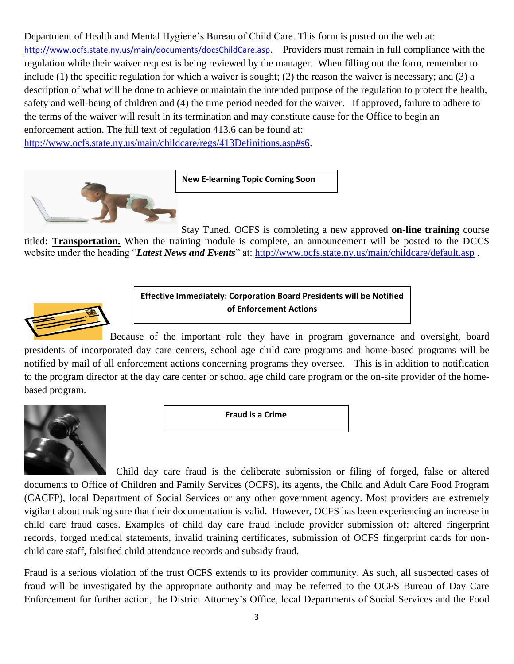Department of Health and Mental Hygiene's Bureau of Child Care. This form is posted on the web at: <http://www.ocfs.state.ny.us/main/documents/docsChildCare.asp>. Providers must remain in full compliance with the regulation while their waiver request is being reviewed by the manager. When filling out the form, remember to include (1) the specific regulation for which a waiver is sought; (2) the reason the waiver is necessary; and (3) a description of what will be done to achieve or maintain the intended purpose of the regulation to protect the health, safety and well-being of children and (4) the time period needed for the waiver. If approved, failure to adhere to the terms of the waiver will result in its termination and may constitute cause for the Office to begin an enforcement action. The full text of regulation 413.6 can be found at:

[http://www.ocfs.state.ny.us/main/childcare/regs/413Definitions.asp#s6.](http://www.ocfs.state.ny.us/main/childcare/regs/413Definitions.asp#s6)



**New E-learning Topic Coming Soon**

Stay Tuned. OCFS is completing a new approved **on-line training** course titled: **Transportation.** When the training module is complete, an announcement will be posted to the DCCS website under the heading "*Latest News and Events*" at:<http://www.ocfs.state.ny.us/main/childcare/default.asp>.



**Effective Immediately: Corporation Board Presidents will be Notified of Enforcement Actions**

Because of the important role they have in program governance and oversight, board presidents of incorporated day care centers, school age child care programs and home-based programs will be notified by mail of all enforcement actions concerning programs they oversee. This is in addition to notification to the program director at the day care center or school age child care program or the on-site provider of the homebased program.



**Fraud is a Crime**

 Child day care fraud is the deliberate submission or filing of forged, false or altered documents to Office of Children and Family Services (OCFS), its agents, the Child and Adult Care Food Program (CACFP), local Department of Social Services or any other government agency. Most providers are extremely vigilant about making sure that their documentation is valid. However, OCFS has been experiencing an increase in child care fraud cases. Examples of child day care fraud include provider submission of: altered fingerprint records, forged medical statements, invalid training certificates, submission of OCFS fingerprint cards for nonchild care staff, falsified child attendance records and subsidy fraud.

Fraud is a serious violation of the trust OCFS extends to its provider community. As such, all suspected cases of fraud will be investigated by the appropriate authority and may be referred to the OCFS Bureau of Day Care Enforcement for further action, the District Attorney's Office, local Departments of Social Services and the Food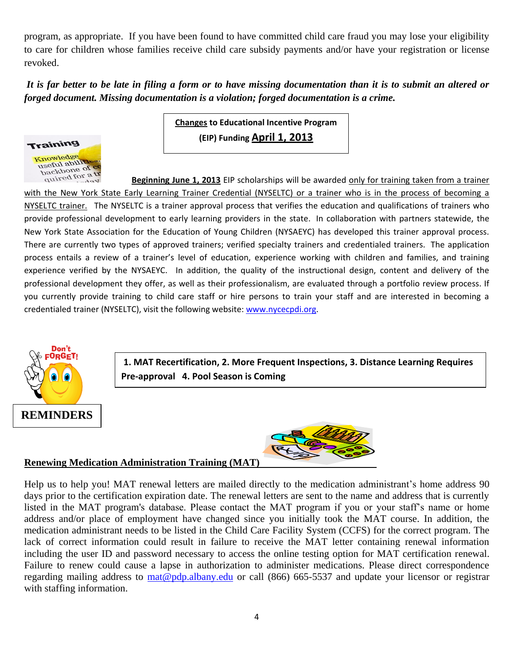program, as appropriate. If you have been found to have committed child care fraud you may lose your eligibility to care for children whose families receive child care subsidy payments and/or have your registration or license revoked.

*It is far better to be late in filing a form or to have missing documentation than it is to submit an altered or forged document. Missing documentation is a violation; forged documentation is a crime.*



**Changes to Educational Incentive Program (EIP) Funding April 1, 2013**

*<u>Anired for a</u>* **<b>Beginning June 1, 2013** EIP scholarships will be awarded <u>only for training taken from a trainer</u> with the New York State Early Learning Trainer Credential (NYSELTC) or a trainer who is in the process of becoming a NYSELTC trainer. The NYSELTC is a trainer approval process that verifies the education and qualifications of trainers who provide professional development to early learning providers in the state. In collaboration with partners statewide, the New York State Association for the Education of Young Children (NYSAEYC) has developed this trainer approval process. There are currently two types of approved trainers; verified specialty trainers and credentialed trainers. The application process entails a review of a trainer's level of education, experience working with children and families, and training experience verified by the NYSAEYC. In addition, the quality of the instructional design, content and delivery of the professional development they offer, as well as their professionalism, are evaluated through a portfolio review process. If you currently provide training to child care staff or hire persons to train your staff and are interested in becoming a credentialed trainer (NYSELTC), visit the following website: [www.nycecpdi.org.](http://www.nycecpdi.org/)



**1. MAT Recertification, 2. More Frequent Inspections, 3. Distance Learning Requires Pre-approval 4. Pool Season is Coming**



## **Renewing Medication Administration Training (MAT)**

Help us to help you! MAT renewal letters are mailed directly to the medication administrant's home address 90 days prior to the certification expiration date. The renewal letters are sent to the name and address that is currently listed in the MAT program's database. Please contact the MAT program if you or your staff's name or home address and/or place of employment have changed since you initially took the MAT course. In addition, the medication administrant needs to be listed in the Child Care Facility System (CCFS) for the correct program. The lack of correct information could result in failure to receive the MAT letter containing renewal information including the user ID and password necessary to access the online testing option for MAT certification renewal. Failure to renew could cause a lapse in authorization to administer medications. Please direct correspondence regarding mailing address to [mat@pdp.albany.edu](mailto:mat@pdp.albany.edu) or call (866) 665-5537 and update your licensor or registrar with staffing information.